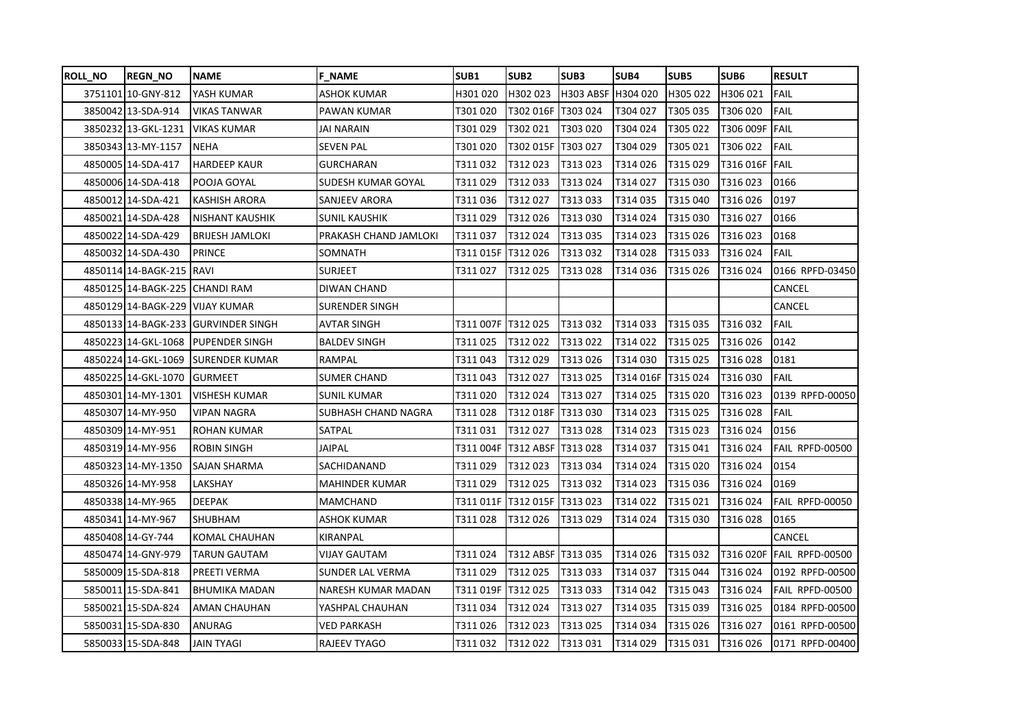| <b>ROLL NO</b> | <b>REGN_NO</b>                  | <b>NAME</b>             | <b>F NAME</b>             | SUB <sub>1</sub>   | SUB <sub>2</sub>   | SUB3               | SUB4      | SUB5     | SUB <sub>6</sub> | <b>RESULT</b>             |
|----------------|---------------------------------|-------------------------|---------------------------|--------------------|--------------------|--------------------|-----------|----------|------------------|---------------------------|
|                | 3751101 10-GNY-812              | YASH KUMAR              | <b>ASHOK KUMAR</b>        | H301 020           | H302 023           | H303 ABSF H304 020 |           | H305 022 | H306 021         | <b>FAIL</b>               |
|                | 3850042 13-SDA-914              | <b>VIKAS TANWAR</b>     | PAWAN KUMAR               | T301020            | T302 016F          | T303 024           | T304 027  | T305 035 | T306 020         | FAIL                      |
|                | 3850232 13-GKL-1231             | <b>VIKAS KUMAR</b>      | JAI NARAIN                | T301029            | T302 021           | T303 020           | T304 024  | T305 022 | T306 009F FAIL   |                           |
|                | 3850343 13-MY-1157              | <b>NEHA</b>             | SEVEN PAL                 | T301 020           | T302 015F T303 027 |                    | T304 029  | T305 021 | T306 022         | FAIL                      |
|                | 4850005 14-SDA-417              | <b>HARDEEP KAUR</b>     | <b>GURCHARAN</b>          | T311032            | T312023            | T313023            | T314026   | T315 029 | T316 016F FAIL   |                           |
|                | 4850006 14-SDA-418              | POOJA GOYAL             | <b>SUDESH KUMAR GOYAL</b> | T311029            | T312033            | T313024            | T314027   | T315030  | T316 023         | 0166                      |
|                | 4850012 14-SDA-421              | <b>KASHISH ARORA</b>    | <b>SANJEEV ARORA</b>      | T311 036           | T312027            | T313033            | T314035   | T315 040 | T316026          | 0197                      |
|                | 4850021 14-SDA-428              | <b>NISHANT KAUSHIK</b>  | SUNIL KAUSHIK             | T311029            | T312026            | T313030            | T314024   | T315030  | T316027          | 0166                      |
|                | 4850022 14-SDA-429              | <b>BRIJESH JAMLOKI</b>  | PRAKASH CHAND JAMLOKI     | T311037            | T312024            | T313035            | T314023   | T315026  | T316023          | 0168                      |
|                | 4850032 14-SDA-430              | <b>PRINCE</b>           | SOMNATH                   | T311 015F          | T312026            | T313032            | T314 028  | T315033  | T316024          | <b>FAIL</b>               |
|                | 4850114 14-BAGK-215             | <b>IRAVI</b>            | <b>SURJEET</b>            | T311 027           | T312025            | T313028            | T314 036  | T315026  | T316024          | 0166 RPFD-03450           |
|                | 4850125 14-BAGK-225             | <b>CHANDI RAM</b>       | DIWAN CHAND               |                    |                    |                    |           |          |                  | CANCEL                    |
|                | 4850129 14-BAGK-229 VIJAY KUMAR |                         | SURENDER SINGH            |                    |                    |                    |           |          |                  | CANCEL                    |
|                | 4850133 14-BAGK-233             | <b>IGURVINDER SINGH</b> | AVTAR SINGH               | T311 007F T312 025 |                    | T313032            | T314033   | T315 035 | T316032          | <b>FAIL</b>               |
|                | 4850223 14-GKL-1068             | <b>PUPENDER SINGH</b>   | <b>BALDEV SINGH</b>       | T311025            | T312022            | T313022            | T314022   | T315025  | T316 026         | 0142                      |
|                | 4850224 14-GKL-1069             | SURENDER KUMAR          | RAMPAL                    | T311043            | T312029            | T313026            | T314030   | T315025  | T316028          | 0181                      |
|                | 4850225 14-GKL-1070             | <b>GURMEET</b>          | SUMER CHAND               | T311 043           | T312027            | T313025            | T314 016F | T315024  | T316030          | <b>FAIL</b>               |
|                | 4850301 14-MY-1301              | <b>VISHESH KUMAR</b>    | SUNIL KUMAR               | T311 020           | T312024            | T313027            | T314 025  | T315 020 | T316023          | 0139 RPFD-00050           |
|                | 4850307 14-MY-950               | <b>VIPAN NAGRA</b>      | SUBHASH CHAND NAGRA       | T311028            | T312 018F          | T313030            | T314023   | T315025  | T316028          | <b>FAIL</b>               |
|                | 4850309 14-MY-951               | ROHAN KUMAR             | SATPAL                    | T311 031           | T312027            | T313028            | T314 023  | T315 023 | T316024          | 0156                      |
|                | 4850319 14-MY-956               | <b>ROBIN SINGH</b>      | JAIPAL                    | T311 004F          | T312 ABSF T313 028 |                    | T314037   | T315 041 | T316024          | FAIL RPFD-00500           |
|                | 4850323 14-MY-1350              | SAJAN SHARMA            | SACHIDANAND               | T311 029           | T312023            | T313034            | T314 024  | T315 020 | T316024          | 0154                      |
|                | 4850326 14-MY-958               | LAKSHAY                 | <b>MAHINDER KUMAR</b>     | T311 029           | T312025            | T313032            | T314023   | T315036  | T316024          | 0169                      |
|                | 4850338 14-MY-965               | <b>DEEPAK</b>           | <b>MAMCHAND</b>           | T311 011F          | T312015F           | T313023            | T314022   | T315 021 | T316024          | FAIL RPFD-00050           |
|                | 4850341 14-MY-967               | SHUBHAM                 | ASHOK KUMAR               | T311 028           | T312026            | T313029            | T314024   | T315 030 | T316028          | 0165                      |
|                | 4850408 14-GY-744               | KOMAL CHAUHAN           | KIRANPAL                  |                    |                    |                    |           |          |                  | CANCEL                    |
|                | 4850474 14-GNY-979              | TARUN GAUTAM            | VIJAY GAUTAM              | T311 024           | T312 ABSF T313 035 |                    | T314026   | T315 032 |                  | T316 020F FAIL RPFD-00500 |
|                | 5850009 15-SDA-818              | PREETI VERMA            | <b>SUNDER LAL VERMA</b>   | T311 029           | T312025            | T313033            | T314037   | T315044  | T316024          | 0192 RPFD-00500           |
|                | 5850011 15-SDA-841              | <b>BHUMIKA MADAN</b>    | NARESH KUMAR MADAN        | T311 019F          | T312025            | T313033            | T314 042  | T315043  | T316024          | FAIL RPFD-00500           |
|                | 5850021 15-SDA-824              | AMAN CHAUHAN            | YASHPAL CHAUHAN           | T311 034           | T312024            | T313027            | T314035   | T315039  | T316025          | 0184 RPFD-00500           |
|                | 5850031 15-SDA-830              | ANURAG                  | VED PARKASH               | T311 026           | T312023            | T313025            | T314 034  | T315026  | T316027          | 0161 RPFD-00500           |
|                | 5850033 15-SDA-848              | <b>JAIN TYAGI</b>       | RAJEEV TYAGO              | T311 032           | T312022            | T313031            | T314 029  | T315031  | T316026          | 0171 RPFD-00400           |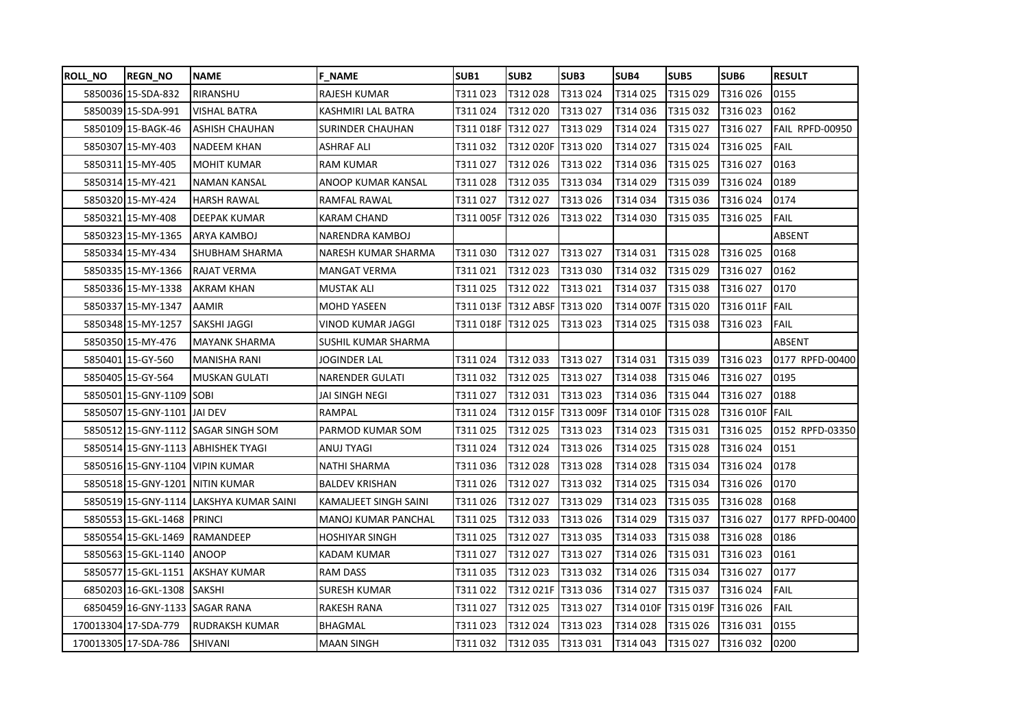| <b>ROLL_NO</b> | <b>REGN NO</b>                 | <b>NAME</b>                             | <b>F NAME</b>              | <b>SUB1</b>        | SUB <sub>2</sub> | SUB3      | SUB4      | SUB <sub>5</sub>   | SUB <sub>6</sub> | <b>RESULT</b>   |
|----------------|--------------------------------|-----------------------------------------|----------------------------|--------------------|------------------|-----------|-----------|--------------------|------------------|-----------------|
|                | 5850036 15-SDA-832             | RIRANSHU                                | <b>RAJESH KUMAR</b>        | T311 023           | T312028          | T313024   | T314025   | T315029            | T316026          | 0155            |
|                | 5850039 15-SDA-991             | <b>VISHAL BATRA</b>                     | KASHMIRI LAL BATRA         | T311 024           | T312020          | T313027   | T314036   | T315 032           | T316023          | 0162            |
|                | 5850109 15-BAGK-46             | <b>ASHISH CHAUHAN</b>                   | <b>SURINDER CHAUHAN</b>    | T311 018F T312 027 |                  | T313029   | T314024   | T315027            | T316 027         | FAIL RPFD-00950 |
|                | 5850307 15-MY-403              | <b>NADEEM KHAN</b>                      | <b>ASHRAF ALI</b>          | T311 032           | T312 020F        | T313020   | T314027   | T315 024           | T316025          | <b>FAIL</b>     |
|                | 5850311 15-MY-405              | <b>MOHIT KUMAR</b>                      | <b>RAM KUMAR</b>           | T311027            | T312026          | T313022   | T314036   | T315 025           | T316027          | 0163            |
|                | 5850314 15-MY-421              | <b>NAMAN KANSAL</b>                     | ANOOP KUMAR KANSAL         | T311028            | T312035          | T313034   | T314029   | T315 039           | T316024          | 0189            |
|                | 5850320 15-MY-424              | <b>HARSH RAWAL</b>                      | RAMFAL RAWAL               | T311 027           | T312027          | T313026   | T314034   | T315 036           | T316024          | 0174            |
|                | 5850321 15-MY-408              | <b>DEEPAK KUMAR</b>                     | <b>KARAM CHAND</b>         | T311 005F          | T312026          | T313022   | T314030   | T315035            | T316025          | <b>FAIL</b>     |
|                | 5850323 15-MY-1365             | ARYA KAMBOJ                             | NARENDRA KAMBOJ            |                    |                  |           |           |                    |                  | ABSENT          |
|                | 5850334 15-MY-434              | SHUBHAM SHARMA                          | NARESH KUMAR SHARMA        | T311030            | T312027          | T313027   | T314031   | T315028            | T316025          | 0168            |
|                | 5850335 15-MY-1366             | RAJAT VERMA                             | <b>MANGAT VERMA</b>        | T311 021           | T312023          | T313030   | T314032   | T315029            | T316027          | 0162            |
|                | 5850336 15-MY-1338             | AKRAM KHAN                              | <b>MUSTAK ALI</b>          | T311 025           | T312022          | T313021   | T314037   | T315038            | T316027          | 0170            |
|                | 5850337 15-MY-1347             | AAMIR                                   | <b>MOHD YASEEN</b>         | T311 013F          | <b>T312 ABSF</b> | T313 020  | T314 007F | T315 020           | T316 011F FAIL   |                 |
|                | 5850348 15-MY-1257             | <b>SAKSHI JAGGI</b>                     | VINOD KUMAR JAGGI          | T311 018F          | T312025          | T313023   | T314025   | T315038            | T316023          | <b>IFAIL</b>    |
|                | 5850350 15-MY-476              | <b>MAYANK SHARMA</b>                    | SUSHIL KUMAR SHARMA        |                    |                  |           |           |                    |                  | <b>ABSENT</b>   |
|                | 5850401 15-GY-560              | <b>MANISHA RANI</b>                     | <b>JOGINDER LAL</b>        | T311 024           | T312033          | T313027   | T314031   | T315039            | T316023          | 0177 RPFD-00400 |
|                | 5850405 15-GY-564              | <b>MUSKAN GULATI</b>                    | <b>NARENDER GULATI</b>     | T311 032           | T312025          | T313027   | T314038   | T315 046           | T316027          | 0195            |
|                | 5850501 15-GNY-1109            | SOBI                                    | JAI SINGH NEGI             | T311 027           | T312031          | T313023   | T314036   | T315 044           | T316027          | 0188            |
|                | 5850507 15-GNY-1101            | IJAI DEV                                | RAMPAL                     | T311 024           | T312 015F        | T313 009F | T314 010F | T315 028           | T316 010F        | <b>IFAIL</b>    |
|                |                                | 5850512 15-GNY-1112 SAGAR SINGH SOM     | PARMOD KUMAR SOM           | T311 025           | T312025          | T313023   | T314023   | T315031            | T316025          | 0152 RPFD-03350 |
|                |                                | 5850514 15-GNY-1113 ABHISHEK TYAGI      | ANUJ TYAGI                 | T311 024           | T312024          | T313026   | T314025   | T315028            | T316024          | 0151            |
|                |                                | 5850516 15-GNY-1104 VIPIN KUMAR         | <b>NATHI SHARMA</b>        | T311 036           | T312028          | T313028   | T314028   | T315034            | T316024          | 0178            |
|                |                                | 5850518 15-GNY-1201 NITIN KUMAR         | <b>BALDEV KRISHAN</b>      | T311 026           | T312027          | T313032   | T314025   | T315034            | T316026          | 0170            |
|                |                                | 5850519 15-GNY-1114 LAKSHYA KUMAR SAINI | KAMALJEET SINGH SAINI      | T311 026           | T312027          | T313029   | T314023   | T315 035           | T316028          | 0168            |
|                | 5850553 15-GKL-1468            | <b>PRINCI</b>                           | <b>MANOJ KUMAR PANCHAL</b> | T311025            | T312033          | T313026   | T314029   | T315037            | T316027          | 0177 RPFD-00400 |
|                | 5850554 15-GKL-1469            | RAMANDEEP                               | HOSHIYAR SINGH             | T311 025           | T312027          | T313035   | T314 033  | T315038            | T316028          | 0186            |
|                | 5850563 15-GKL-1140            | <b>ANOOP</b>                            | <b>KADAM KUMAR</b>         | T311027            | T312027          | T313027   | T314026   | T315031            | T316023          | 0161            |
|                |                                | 5850577 15-GKL-1151 AKSHAY KUMAR        | <b>RAM DASS</b>            | T311035            | T312023          | T313032   | T314026   | T315034            | T316027          | 0177            |
|                | 6850203 16-GKL-1308            | <b>SAKSHI</b>                           | <b>SURESH KUMAR</b>        | T311022            | T312 021F        | T313036   | T314027   | T315037            | T316024          | <b>FAIL</b>     |
|                | 6850459 16-GNY-1133 SAGAR RANA |                                         | <b>RAKESH RANA</b>         | T311 027           | T312025          | T313027   | T314 010F | T315 019F T316 026 |                  | <b>FAIL</b>     |
|                | 170013304 17-SDA-779           | <b>RUDRAKSH KUMAR</b>                   | <b>BHAGMAL</b>             | T311 023           | T312024          | T313023   | T314028   | T315026            | T316031          | 0155            |
|                | 170013305 17-SDA-786           | <b>SHIVANI</b>                          | <b>MAAN SINGH</b>          | T311032            | T312035          | T313031   | T314043   | T315027            | T316032          | 0200            |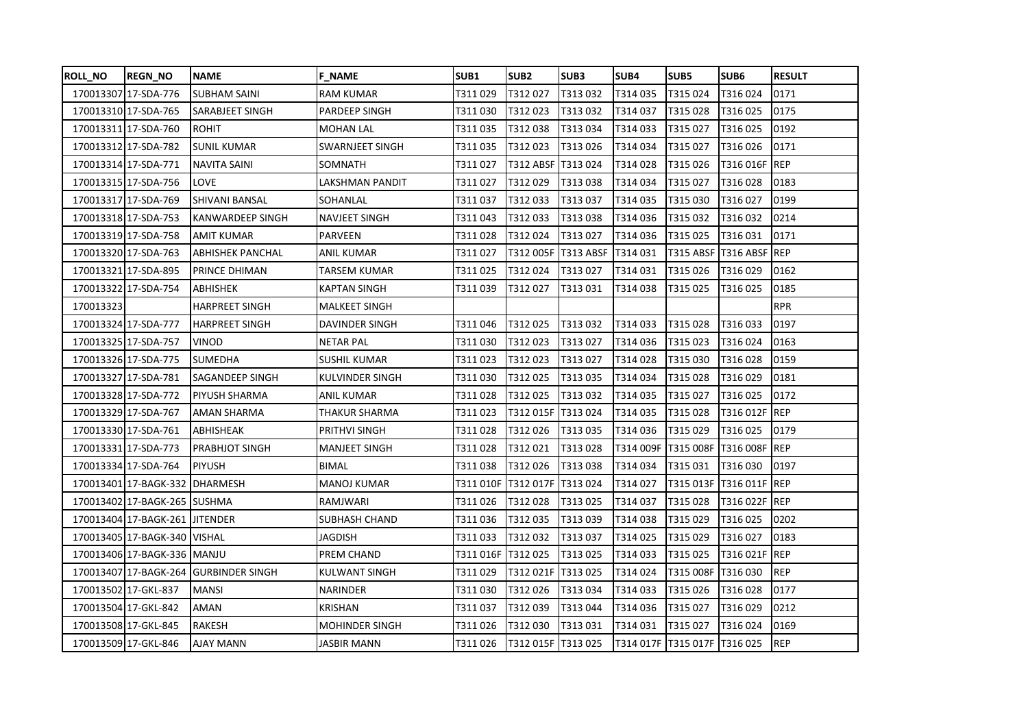| <b>ROLL NO</b> | <b>REGN_NO</b>                  | <b>NAME</b>             | <b>F NAME</b>         | SUB <sub>1</sub> | SUB <sub>2</sub>   | SUB3      | SUB4      | SUB5                             | SUB <sub>6</sub>            | <b>RESULT</b> |
|----------------|---------------------------------|-------------------------|-----------------------|------------------|--------------------|-----------|-----------|----------------------------------|-----------------------------|---------------|
|                | 170013307 17-SDA-776            | <b>SUBHAM SAINI</b>     | <b>RAM KUMAR</b>      | T311029          | T312027            | T313032   | T314035   | T315024                          | T316024                     | 0171          |
|                | 170013310 17-SDA-765            | SARABJEET SINGH         | PARDEEP SINGH         | T311 030         | T312023            | T313032   | T314037   | T315 028                         | T316025                     | 0175          |
|                | 17001331117-SDA-760             | <b>ROHIT</b>            | <b>MOHAN LAL</b>      | T311035          | T312038            | T313034   | T314 033  | T315 027                         | T316025                     | 0192          |
|                | 170013312 17-SDA-782            | <b>SUNIL KUMAR</b>      | SWARNJEET SINGH       | T311 035         | T312023            | T313026   | T314 034  | T315 027                         | T316026                     | 0171          |
|                | 170013314 17-SDA-771            | <b>NAVITA SAINI</b>     | SOMNATH               | T311 027         | T312 ABSF          | T313024   | T314028   | T315026                          | T316 016F REP               |               |
|                | 170013315 17-SDA-756            | LOVE                    | LAKSHMAN PANDIT       | T311 027         | T312029            | T313038   | T314034   | T315 027                         | T316028                     | 0183          |
|                | 170013317 17-SDA-769            | <b>SHIVANI BANSAL</b>   | SOHANLAL              | T311037          | T312033            | T313037   | T314035   | T315 030                         | T316027                     | 0199          |
|                | 170013318 17-SDA-753            | KANWARDEEP SINGH        | NAVJEET SINGH         | T311 043         | T312033            | T313038   | T314036   | T315032                          | T316 032                    | 0214          |
|                | 17001331917-SDA-758             | AMIT KUMAR              | <b>PARVEEN</b>        | T311 028         | T312024            | T313027   | T314036   | T315025                          | T316031                     | 0171          |
|                | 170013320 17-SDA-763            | <b>ABHISHEK PANCHAL</b> | <b>ANIL KUMAR</b>     | T311027          | T312 005F          | T313 ABSF | T314031   |                                  | T315 ABSF   T316 ABSF   REP |               |
|                | 170013321 17-SDA-895            | PRINCE DHIMAN           | TARSEM KUMAR          | T311025          | T312024            | T313027   | T314031   | T315026                          | T316029                     | 0162          |
|                | 170013322 17-SDA-754            | ABHISHEK                | <b>KAPTAN SINGH</b>   | T311 039         | T312027            | T313031   | T314038   | T315 025                         | T316025                     | 0185          |
| 170013323      |                                 | <b>HARPREET SINGH</b>   | MALKEET SINGH         |                  |                    |           |           |                                  |                             | <b>RPR</b>    |
|                | 170013324 17-SDA-777            | <b>HARPREET SINGH</b>   | DAVINDER SINGH        | T311046          | T312025            | T313032   | T314033   | T315028                          | T316033                     | 0197          |
|                | 170013325 17-SDA-757            | <b>VINOD</b>            | <b>NETAR PAL</b>      | T311 030         | T312023            | T313027   | T314036   | T315023                          | T316024                     | 0163          |
|                | 170013326 17-SDA-775            | <b>SUMEDHA</b>          | <b>SUSHIL KUMAR</b>   | T311 023         | T312023            | T313027   | T314028   | T315 030                         | T316028                     | 0159          |
|                | 170013327 17-SDA-781            | SAGANDEEP SINGH         | KULVINDER SINGH       | T311 030         | T312025            | T313035   | T314034   | T315028                          | T316029                     | 0181          |
|                | 170013328 17-SDA-772            | <b>PIYUSH SHARMA</b>    | ANIL KUMAR            | T311 028         | T312025            | T313032   | T314 035  | T315 027                         | T316025                     | 0172          |
|                | 170013329 17-SDA-767            | AMAN SHARMA             | THAKUR SHARMA         | T311 023         | T312 015F          | T313024   | T314035   | T315028                          | T316 012F REP               |               |
|                | 170013330 17-SDA-761            | ABHISHEAK               | PRITHVI SINGH         | T311 028         | T312026            | T313035   | T314036   | T315 029                         | T316025                     | 0179          |
|                | 170013331 17-SDA-773            | <b>PRABHJOT SINGH</b>   | MANJEET SINGH         | T311 028         | T312021            | T313028   | T314 009F |                                  | T315 008F T316 008F REP     |               |
|                | 170013334 17-SDA-764            | <b>PIYUSH</b>           | <b>BIMAL</b>          | T311 038         | T312026            | T313038   | T314 034  | T315031                          | T316030                     | 0197          |
|                | 170013401 17-BAGK-332           | <b>DHARMESH</b>         | MANOJ KUMAR           | T311 010F        | T312 017F          | T313024   | T314027   |                                  | T315 013F   T316 011F   REP |               |
|                | 170013402 17-BAGK-265           | <b>SUSHMA</b>           | RAMJWARI              | T311026          | T312028            | T313025   | T314037   | T315028                          | T316 022F REP               |               |
|                | 170013404 17-BAGK-261 JJITENDER |                         | SUBHASH CHAND         | T311 036         | T312035            | T313039   | T314038   | T315 029                         | T316 025                    | 0202          |
|                | 170013405 17-BAGK-340 VISHAL    |                         | JAGDISH               | T311033          | T312032            | T313037   | T314025   | T315 029                         | T316027                     | 0183          |
|                | 170013406 17-BAGK-336 MANJU     |                         | PREM CHAND            | T311 016F        | T312025            | T313025   | T314 033  | T315025                          | T316 021F REP               |               |
|                | 170013407 17-BAGK-264           | <b>GURBINDER SINGH</b>  | KULWANT SINGH         | T311 029         | T312 021F          | T313025   | T314024   | T315 008F                        | T316030                     | <b>REP</b>    |
|                | 170013502 17-GKL-837            | <b>MANSI</b>            | <b>NARINDER</b>       | T311030          | T312026            | T313034   | T314 033  | T315 026                         | T316028                     | 0177          |
|                | 170013504 17-GKL-842            | AMAN                    | KRISHAN               | T311 037         | T312039            | T313044   | T314036   | T315 027                         | T316029                     | 0212          |
|                | 170013508 17-GKL-845            | RAKESH                  | <b>MOHINDER SINGH</b> | T311 026         | T312 030           | T313031   | T314 031  | T315 027                         | T316 024                    | 0169          |
|                | 170013509 17-GKL-846            | <b>AJAY MANN</b>        | JASBIR MANN           | T311 026         | T312 015F T313 025 |           |           | T314 017F   T315 017F   T316 025 |                             | <b>REP</b>    |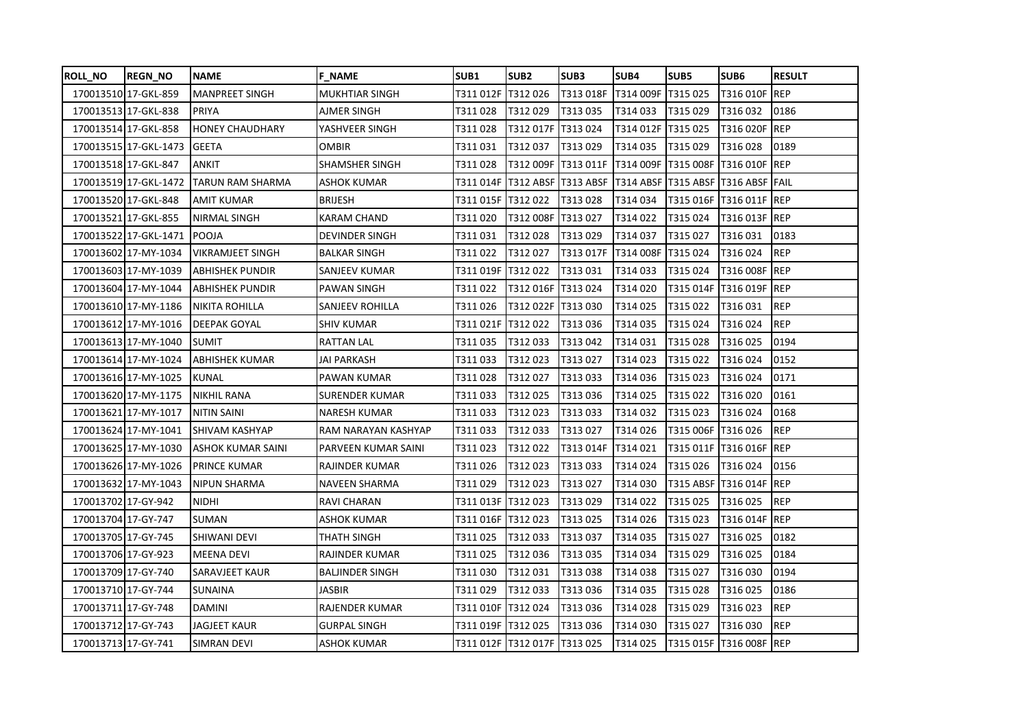| <b>ROLL_NO</b>      | <b>REGN_NO</b>        | <b>NAME</b>              | <b>F NAME</b>          | SUB <sub>1</sub> | SUB <sub>2</sub>             | SUB <sub>3</sub> | SUB4      | SUB5               | SUB6                               | <b>RESULT</b> |
|---------------------|-----------------------|--------------------------|------------------------|------------------|------------------------------|------------------|-----------|--------------------|------------------------------------|---------------|
|                     | 170013510 17-GKL-859  | <b>MANPREET SINGH</b>    | <b>MUKHTIAR SINGH</b>  | T311 012F        | T312026                      | T313 018F        | T314 009F | T315 025           | T316 010F REP                      |               |
|                     | 170013513 17-GKL-838  | <b>PRIYA</b>             | AJMER SINGH            | T311 028         | T312029                      | T313 035         | T314033   | T315 029           | T316032                            | 0186          |
|                     | 170013514 17-GKL-858  | <b>HONEY CHAUDHARY</b>   | YASHVEER SINGH         | T311 028         | T312 017F   T313 024         |                  | T314 012F | T315 025           | T316 020F REP                      |               |
|                     | 170013515 17-GKL-1473 | <b>GEETA</b>             | OMBIR                  | T311 031         | T312037                      | T313 029         | T314035   | T315 029           | T316028                            | 0189          |
|                     | 170013518 17-GKL-847  | <b>ANKIT</b>             | <b>SHAMSHER SINGH</b>  | T311 028         | T312 009F T313 011F          |                  |           |                    | T314 009F T315 008F T316 010F REP  |               |
|                     | 170013519 17-GKL-1472 | <b>TARUN RAM SHARMA</b>  | ASHOK KUMAR            |                  |                              |                  |           |                    | T314 ABSF T315 ABSF T316 ABSF FAIL |               |
|                     | 170013520 17-GKL-848  | AMIT KUMAR               | <b>BRIJESH</b>         |                  |                              | T313028          | T314034   |                    | T315 016F T316 011F REP            |               |
|                     | 170013521 17-GKL-855  | <b>NIRMAL SINGH</b>      | <b>KARAM CHAND</b>     | T311 020         | T312 008F                    | T313027          | T314022   | T315 024           | T316 013F REP                      |               |
|                     | 170013522 17-GKL-1471 | <b>POOJA</b>             | <b>DEVINDER SINGH</b>  | T311 031         | T312028                      | T313029          | T314037   | T315027            | T316031                            | 0183          |
|                     | 170013602 17-MY-1034  | <b>VIKRAMJEET SINGH</b>  | <b>BALKAR SINGH</b>    | T311 022         | T312027                      | T313 017F        | T314 008F | T315 024           | T316024                            | REP           |
|                     | 170013603 17-MY-1039  | <b>ABHISHEK PUNDIR</b>   | SANJEEV KUMAR          | T311 019F        | T312 022                     | T313031          | T314033   | T315024            | T316 008F REP                      |               |
|                     | 170013604 17-MY-1044  | <b>ABHISHEK PUNDIR</b>   | <b>PAWAN SINGH</b>     | T311 022         | T312 016F                    | T313024          | T314020   | T315 014F          | T316 019F REP                      |               |
|                     | 170013610 17-MY-1186  | NIKITA ROHILLA           | <b>SANJEEV ROHILLA</b> | T311026          | T312 022F T313 030           |                  | T314025   | T315 022           | T316031                            | <b>REP</b>    |
|                     | 170013612 17-MY-1016  | <b>DEEPAK GOYAL</b>      | <b>SHIV KUMAR</b>      | T311 021F        | T312022                      | T313036          | T314035   | T315024            | T316024                            | <b>REP</b>    |
|                     | 170013613 17-MY-1040  | <b>SUMIT</b>             | <b>RATTAN LAL</b>      | T311 035         | T312033                      | T313042          | T314031   | T315028            | T316025                            | 0194          |
|                     | 170013614 17-MY-1024  | <b>ABHISHEK KUMAR</b>    | JAI PARKASH            | T311 033         | T312023                      | T313027          | T314023   | T315 022           | T316024                            | 0152          |
|                     | 170013616 17-MY-1025  | <b>KUNAL</b>             | PAWAN KUMAR            | T311 028         | T312027                      | T313033          | T314036   | T315023            | T316024                            | 0171          |
|                     | 170013620 17-MY-1175  | <b>NIKHIL RANA</b>       | SURENDER KUMAR         | T311 033         | T312025                      | T313036          | T314025   | T315 022           | T316020                            | 0161          |
|                     | 170013621 17-MY-1017  | <b>NITIN SAINI</b>       | <b>NARESH KUMAR</b>    | T311 033         | T312023                      | T313033          | T314032   | T315023            | T316024                            | 0168          |
|                     | 170013624 17-MY-1041  | <b>SHIVAM KASHYAP</b>    | RAM NARAYAN KASHYAP    | T311 033         | T312033                      | T313027          | T314026   | T315 006F T316 026 |                                    | <b>REP</b>    |
|                     | 170013625 17-MY-1030  | <b>ASHOK KUMAR SAINI</b> | PARVEEN KUMAR SAINI    | T311 023         | T312022                      | T313 014F        | T314021   |                    | T315 011F T316 016F REP            |               |
|                     | 170013626 17-MY-1026  | PRINCE KUMAR             | RAJINDER KUMAR         | T311 026         | T312023                      | T313033          | T314024   | T315 026           | T316024                            | 0156          |
|                     | 170013632 17-MY-1043  | <b>NIPUN SHARMA</b>      | <b>NAVEEN SHARMA</b>   | T311029          | T312023                      | T313027          | T314030   |                    | T315 ABSF T316 014F REP            |               |
| 170013702 17-GY-942 |                       | <b>NIDHI</b>             | RAVI CHARAN            | T311 013F        | T312023                      | T313029          | T314 022  | T315 025           | T316025                            | <b>REP</b>    |
| 170013704 17-GY-747 |                       | <b>SUMAN</b>             | ASHOK KUMAR            | T311 016F        | T312023                      | T313025          | T314026   | T315023            | T316 014F REP                      |               |
| 170013705 17-GY-745 |                       | SHIWANI DEVI             | THATH SINGH            | T311 025         | T312033                      | T313037          | T314035   | T315 027           | T316025                            | 0182          |
| 170013706 17-GY-923 |                       | <b>MEENA DEVI</b>        | <b>RAJINDER KUMAR</b>  | T311025          | T312036                      | T313035          | T314034   | T315 029           | T316025                            | 0184          |
| 170013709 17-GY-740 |                       | SARAVJEET KAUR           | <b>BALJINDER SINGH</b> | T311 030         | T312031                      | T313038          | T314038   | T315 027           | T316030                            | 0194          |
| 170013710 17-GY-744 |                       | <b>SUNAINA</b>           | JASBIR                 | T311 029         | T312033                      | T313036          | T314035   | T315028            | T316025                            | 0186          |
| 170013711 17-GY-748 |                       | <b>DAMINI</b>            | RAJENDER KUMAR         |                  |                              | T313036          | T314028   | T315 029           | T316023                            | <b>REP</b>    |
| 170013712 17-GY-743 |                       | <b>JAGJEET KAUR</b>      | <b>GURPAL SINGH</b>    | T311019F         | T312 025                     | T313036          | T314030   | T315 027           | T316030                            | <b>REP</b>    |
| 170013713 17-GY-741 |                       | <b>SIMRAN DEVI</b>       | <b>ASHOK KUMAR</b>     |                  | T311 012F T312 017F T313 025 |                  | T314025   |                    | T315 015F T316 008F REP            |               |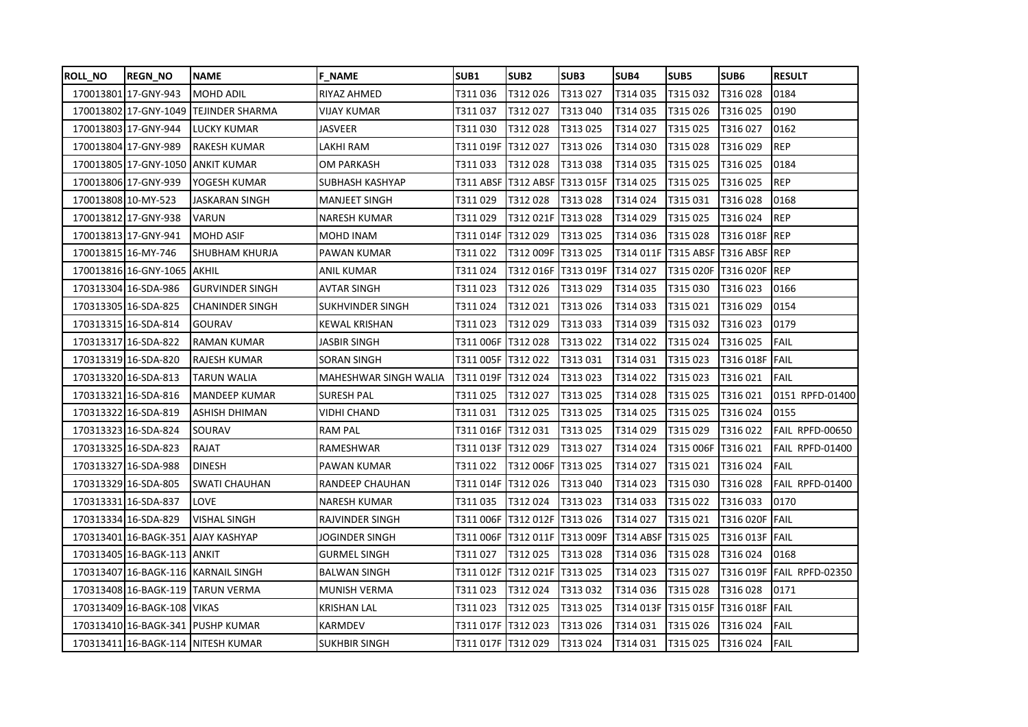| ROLL NO | <b>REGN NO</b>              | <b>NAME</b>                         | <b>F NAME</b>           | SUB1                | SUB <sub>2</sub>                | SUB3    | SUB4                  | SUB5      | SUB <sub>6</sub>            | <b>RESULT</b>   |
|---------|-----------------------------|-------------------------------------|-------------------------|---------------------|---------------------------------|---------|-----------------------|-----------|-----------------------------|-----------------|
|         | 170013801 17-GNY-943        | <b>MOHD ADIL</b>                    | RIYAZ AHMED             | T311 036            | T312026                         | T313027 | T314035               | T315032   | T316028                     | 0184            |
|         | 170013802 17-GNY-1049       | TEJINDER SHARMA                     | VIJAY KUMAR             | T311 037            | T312027                         | T313040 | T314035               | T315 026  | T316025                     | 0190            |
|         | 170013803 17-GNY-944        | LUCKY KUMAR                         | JASVEER                 | T311 030            | T312028                         | T313025 | T314027               | T315025   | T316027                     | 0162            |
|         | 170013804 17-GNY-989        | RAKESH KUMAR                        | LAKHI RAM               | T311 019F           | T312027                         | T313026 | T314030               | T315028   | T316029                     | <b>REP</b>      |
|         | 170013805 17-GNY-1050       | <b>ANKIT KUMAR</b>                  | OM PARKASH              | T311 033            | T312028                         | T313038 | T314035               | T315 025  | T316025                     | 0184            |
|         | 170013806 17-GNY-939        | YOGESH KUMAR                        | SUBHASH KASHYAP         |                     | T311 ABSF  T312 ABSF  T313 015F |         | T314 025              | T315 025  | T316025                     | <b>REP</b>      |
|         | 170013808 10-MY-523         | JASKARAN SINGH                      | MANJEET SINGH           | T311 029            | T312028                         | T313028 | T314024               | T315031   | T316028                     | 0168            |
|         | 170013812 17-GNY-938        | VARUN                               | <b>NARESH KUMAR</b>     | T311 029            | T312 021F                       | T313028 | T314 029              | T315 025  | T316024                     | <b>REP</b>      |
|         | 170013813 17-GNY-941        | <b>MOHD ASIF</b>                    | MOHD INAM               | T311 014F           | T312 029                        | T313025 | T314036               | T315028   | T316 018F REP               |                 |
|         | 170013815 16-MY-746         | SHUBHAM KHURJA                      | PAWAN KUMAR             | T311 022            | T312 009F                       | T313025 | T314 011F             | T315 ABSF | T316 ABSF REP               |                 |
|         | 170013816 16-GNY-1065       | <b>AKHIL</b>                        | ANIL KUMAR              | T311 024            | T312 016F T313 019F             |         | T314027               |           | T315 020F   T316 020F   REP |                 |
|         | 170313304 16-SDA-986        | <b>GURVINDER SINGH</b>              | <b>AVTAR SINGH</b>      | T311023             | T312026                         | T313029 | T314035               | T315 030  | T316023                     | 0166            |
|         | 170313305 16-SDA-825        | <b>CHANINDER SINGH</b>              | <b>SUKHVINDER SINGH</b> | T311024             | T312021                         | T313026 | T314033               | T315021   | T316029                     | 0154            |
|         | 170313315 16-SDA-814        | <b>GOURAV</b>                       | <b>KEWAL KRISHAN</b>    | T311 023            | T312029                         | T313033 | T314039               | T315 032  | T316023                     | 0179            |
|         | 170313317 16-SDA-822        | <b>RAMAN KUMAR</b>                  | JASBIR SINGH            | T311 006F           | T312028                         | T313022 | T314022               | T315024   | T316025                     | <b>FAIL</b>     |
|         | 170313319 16-SDA-820        | RAJESH KUMAR                        | SORAN SINGH             | T311 005F           | T312022                         | T313031 | T314031               | T315 023  | T316 018F                   | <b>FAIL</b>     |
|         | 170313320 16-SDA-813        | <b>TARUN WALIA</b>                  | MAHESHWAR SINGH WALIA   | T311 019F T312 024  |                                 | T313023 | T314022               | T315023   | T316021                     | <b>FAIL</b>     |
|         | 170313321 16-SDA-816        | MANDEEP KUMAR                       | SURESH PAL              | T311 025            | T312027                         | T313025 | T314028               | T315 025  | T316021                     | 0151 RPFD-01400 |
|         | 170313322 16-SDA-819        | ASHISH DHIMAN                       | VIDHI CHAND             | T311 031            | T312025                         | T313025 | T314025               | T315 025  | T316024                     | 0155            |
|         | 170313323 16-SDA-824        | SOURAV                              | <b>RAM PAL</b>          | T311 016F  T312 031 |                                 | T313025 | T314029               | T315 029  | T316022                     | FAIL RPFD-00650 |
|         | 170313325 16-SDA-823        | RAJAT                               | RAMESHWAR               | T311 013F T312 029  |                                 | T313027 | T314024               | T315 006F | T316021                     | FAIL RPFD-01400 |
|         | 170313327 16-SDA-988        | <b>DINESH</b>                       | PAWAN KUMAR             | T311 022            | T312 006F                       | T313025 | T314027               | T315021   | T316024                     | FAIL            |
|         | 170313329 16-SDA-805        | SWATI CHAUHAN                       | RANDEEP CHAUHAN         | T311 014F           | T312026                         | T313040 | T314023               | T315 030  | T316028                     | FAIL RPFD-01400 |
|         | 170313331 16-SDA-837        | LOVE                                | <b>NARESH KUMAR</b>     | T311 035            | T312024                         | T313023 | T314033               | T315 022  | T316033                     | 0170            |
|         | 170313334 16-SDA-829        | <b>VISHAL SINGH</b>                 | RAJVINDER SINGH         | T311 006F           | T312 012F T313 026              |         | T314027               | T315021   | T316 020F FAIL              |                 |
|         | 170313401 16-BAGK-351       | AJAY KASHYAP                        | JOGINDER SINGH          |                     | T311 006F  T312 011F  T313 009F |         | T314 ABSF             | T315 025  | T316 013F FAIL              |                 |
|         | 170313405 16-BAGK-113       | <b>ANKIT</b>                        | <b>GURMEL SINGH</b>     | T311027             | T312025                         | T313028 | T314036               | T315 028  | T316024                     | 0168            |
|         |                             | 170313407 16-BAGK-116 KARNAIL SINGH | <b>BALWAN SINGH</b>     | T311 012F           | T312 021F T313 025              |         | T314023               | T315 027  | T316 019F                   | FAIL RPFD-02350 |
|         |                             | 170313408 16-BAGK-119 TARUN VERMA   | MUNISH VERMA            | T311 023            | T312024                         | T313032 | T314036               | T315028   | T316028                     | 0171            |
|         | 170313409 16-BAGK-108 VIKAS |                                     | KRISHAN LAL             | T311 023            | T312025                         | T313025 | T314 013F   T315 015F |           | T316 018F                   | <b>FAIL</b>     |
|         |                             | 170313410 16-BAGK-341 PUSHP KUMAR   | <b>KARMDEV</b>          | T311017F            | T312023                         | T313026 | T314031               | T315026   | T316024                     | <b>FAIL</b>     |
|         |                             | 170313411 16-BAGK-114 NITESH KUMAR  | <b>SUKHBIR SINGH</b>    | T311 017F T312 029  |                                 | T313024 | T314031               | T315025   | T316024                     | FAIL            |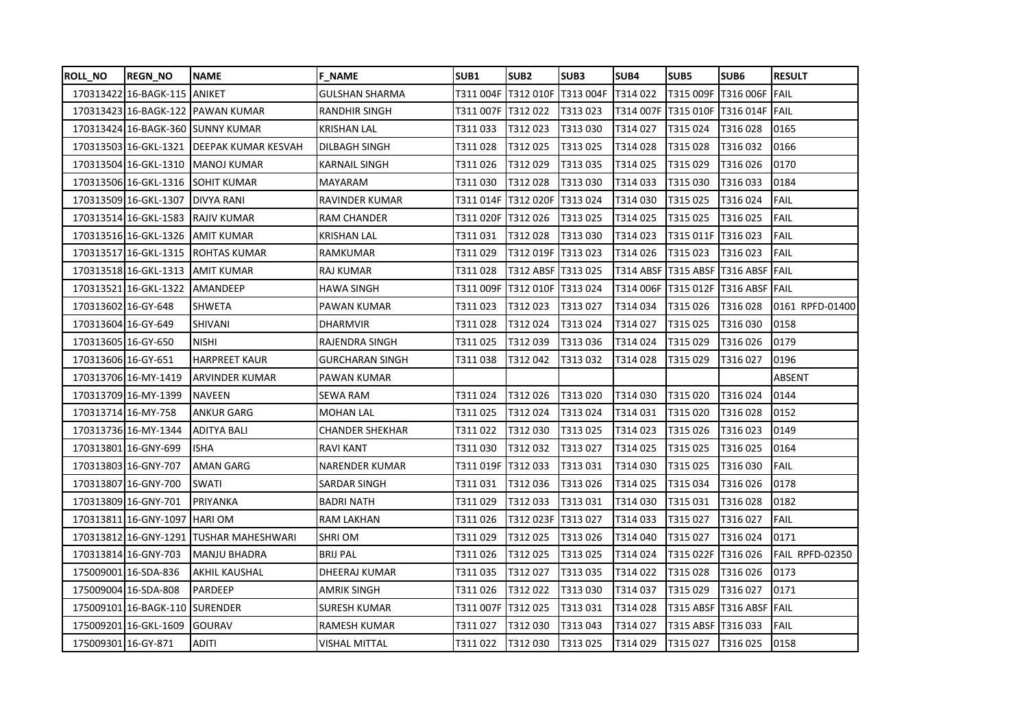| ROLL NO             | <b>REGN NO</b>                   | <b>NAME</b>                               | <b>F NAME</b>          | SUB1                | SUB <sub>2</sub>     | SUB3      | SUB4      | SUB5               | SUB6                         | <b>RESULT</b>   |
|---------------------|----------------------------------|-------------------------------------------|------------------------|---------------------|----------------------|-----------|-----------|--------------------|------------------------------|-----------------|
|                     | 170313422 16-BAGK-115 ANIKET     |                                           | <b>GULSHAN SHARMA</b>  | T311 004F           | T312 010F            | T313 004F | T314022   |                    | T315 009F T316 006F FAIL     |                 |
|                     |                                  | 170313423 16-BAGK-122 PAWAN KUMAR         | <b>RANDHIR SINGH</b>   | T311 007F  T312 022 |                      | T313023   | T314 007F |                    | T315 010F T316 014F FAIL     |                 |
|                     |                                  | 170313424 16-BAGK-360 SUNNY KUMAR         | KRISHAN LAL            | T311 033            | T312 023             | T313030   | T314027   | T315 024           | T316028                      | 0165            |
|                     |                                  | 170313503 16-GKL-1321 DEEPAK KUMAR KESVAH | DILBAGH SINGH          | T311 028            | T312025              | T313025   | T314028   | T315 028           | T316032                      | 0166            |
|                     |                                  | 170313504 16-GKL-1310 MANOJ KUMAR         | <b>KARNAIL SINGH</b>   | T311 026            | T312029              | T313035   | T314025   | T315 029           | T316026                      | 0170            |
|                     |                                  | 170313506 16-GKL-1316 SOHIT KUMAR         | MAYARAM                | T311 030            | T312028              | T313030   | T314033   | T315 030           | T316033                      | 0184            |
|                     | 170313509 16-GKL-1307 DIVYA RANI |                                           | RAVINDER KUMAR         | T311 014F           | <b>T312 020F</b>     | T313024   | T314030   | T315 025           | T316024                      | FAIL            |
|                     | 170313514 16-GKL-1583            | <b>RAJIV KUMAR</b>                        | <b>RAM CHANDER</b>     | T311 020F           | T312026              | T313025   | T314025   | T315 025           | T316025                      | <b>FAIL</b>     |
|                     | 170313516 16-GKL-1326 AMIT KUMAR |                                           | <b>KRISHAN LAL</b>     | T311 031            | T312028              | T313030   | T314023   | T315 011F T316 023 |                              | <b>FAIL</b>     |
|                     |                                  | 170313517 16-GKL-1315 ROHTAS KUMAR        | RAMKUMAR               | T311 029            | T312 019F   T313 023 |           | T314026   | T315 023           | T316023                      | FAIL            |
|                     | 170313518 16-GKL-1313 AMIT KUMAR |                                           | RAJ KUMAR              | T311 028            | T312 ABSF T313 025   |           | T314 ABSF |                    | T315 ABSF   T316 ABSF   FAIL |                 |
|                     | 170313521 16-GKL-1322            | <b>AMANDEEP</b>                           | <b>HAWA SINGH</b>      | T311 009F           | T312 010F            | T313024   | T314 006F |                    | T315 012F   T316 ABSF   FAIL |                 |
| 170313602 16-GY-648 |                                  | <b>SHWETA</b>                             | PAWAN KUMAR            | T311 023            | T312023              | T313027   | T314034   | T315026            | T316028                      | 0161 RPFD-01400 |
| 170313604 16-GY-649 |                                  | SHIVANI                                   | DHARMVIR               | T311 028            | T312024              | T313024   | T314027   | T315 025           | T316030                      | 0158            |
| 170313605 16-GY-650 |                                  | <b>NISHI</b>                              | RAJENDRA SINGH         | T311 025            | T312039              | T313036   | T314024   | T315 029           | T316026                      | 0179            |
| 170313606 16-GY-651 |                                  | <b>HARPREET KAUR</b>                      | <b>GURCHARAN SINGH</b> | T311 038            | T312042              | T313 032  | T314 028  | T315 029           | T316027                      | 0196            |
|                     | 170313706 16-MY-1419             | <b>ARVINDER KUMAR</b>                     | PAWAN KUMAR            |                     |                      |           |           |                    |                              | <b>ABSENT</b>   |
|                     | 170313709 16-MY-1399             | <b>NAVEEN</b>                             | SEWA RAM               | T311 024            | T312026              | T313020   | T314030   | T315 020           | T316024                      | 0144            |
|                     | 170313714 16-MY-758              | <b>ANKUR GARG</b>                         | <b>MOHAN LAL</b>       | T311 025            | T312024              | T313024   | T314031   | T315 020           | T316028                      | 0152            |
|                     | 170313736 16-MY-1344             | ADITYA BALI                               | <b>CHANDER SHEKHAR</b> | T311 022            | T312030              | T313025   | T314 023  | T315 026           | T316023                      | 0149            |
|                     | 170313801 16-GNY-699             | <b>ISHA</b>                               | <b>RAVI KANT</b>       | T311 030            | T312032              | T313027   | T314025   | T315 025           | T316025                      | 0164            |
|                     | 170313803 16-GNY-707             | AMAN GARG                                 | NARENDER KUMAR         | T311 019F  T312 033 |                      | T313031   | T314030   | T315 025           | T316 030                     | FAIL            |
|                     | 170313807 16-GNY-700             | SWATI                                     | SARDAR SINGH           | T311 031            | T312036              | T313026   | T314025   | T315034            | T316026                      | 0178            |
|                     | 170313809 16-GNY-701             | PRIYANKA                                  | <b>BADRI NATH</b>      | T311 029            | T312033              | T313031   | T314030   | T315031            | T316028                      | 0182            |
|                     | 170313811 16-GNY-1097            | <b>HARIOM</b>                             | <b>RAM LAKHAN</b>      | T311 026            | T312 023F            | T313027   | T314033   | T315 027           | T316027                      | <b>FAIL</b>     |
|                     | 170313812 16-GNY-1291            | <b>TUSHAR MAHESHWARI</b>                  | <b>SHRI OM</b>         | T311 029            | T312025              | T313026   | T314040   | T315 027           | T316024                      | 0171            |
|                     | 170313814 16-GNY-703             | <b>MANJU BHADRA</b>                       | <b>BRIJ PAL</b>        | T311 026            | T312025              | T313025   | T314024   | T315 022F          | T316026                      | FAIL RPFD-02350 |
|                     | 175009001 16-SDA-836             | <b>AKHIL KAUSHAL</b>                      | DHEERAJ KUMAR          | T311 035            | T312027              | T313035   | T314022   | T315028            | T316026                      | 0173            |
|                     | 175009004 16-SDA-808             | PARDEEP                                   | AMRIK SINGH            | T311 026            | T312022              | T313030   | T314037   | T315029            | T316027                      | 0171            |
|                     | 175009101 16-BAGK-110 SURENDER   |                                           | SURESH KUMAR           | T311 007F           | T312 025             | T313031   | T314028   |                    | T315 ABSF   T316 ABSF   FAIL |                 |
|                     | 175009201 16-GKL-1609            | <b>GOURAV</b>                             | RAMESH KUMAR           | T311027             | T312030              | T313043   | T314027   | T315 ABSF          | T316033                      | <b>FAIL</b>     |
|                     | 175009301 16-GY-871              | <b>ADITI</b>                              | <b>VISHAL MITTAL</b>   | T311 022            | T312 030             | T313025   | T314029   | T315 027           | T316 025                     | 0158            |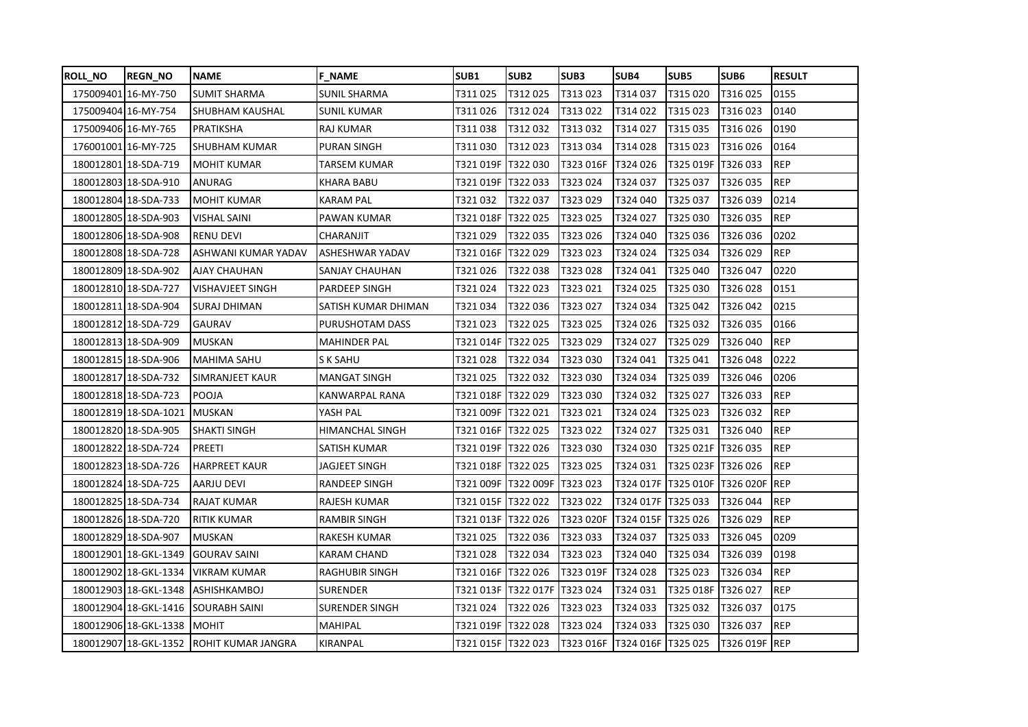| <b>ROLL_NO</b> | <b>REGN NO</b>              | <b>NAME</b>                              | <b>F NAME</b>          | <b>SUB1</b>         | SUB <sub>2</sub>     | SUB3                         | SUB4      | SUB <sub>5</sub>     | SUB <sub>6</sub> | <b>RESULT</b> |
|----------------|-----------------------------|------------------------------------------|------------------------|---------------------|----------------------|------------------------------|-----------|----------------------|------------------|---------------|
|                | 175009401 16-MY-750         | <b>SUMIT SHARMA</b>                      | <b>SUNIL SHARMA</b>    | T311 025            | T312025              | T313023                      | T314037   | T315 020             | T316025          | 0155          |
|                | 175009404 16-MY-754         | SHUBHAM KAUSHAL                          | <b>SUNIL KUMAR</b>     | T311 026            | T312024              | T313022                      | T314022   | T315 023             | T316023          | 0140          |
|                | 175009406 16-MY-765         | PRATIKSHA                                | <b>RAJ KUMAR</b>       | T311 038            | T312032              | T313032                      | T314027   | T315035              | T316026          | 0190          |
|                | 176001001 16-MY-725         | SHUBHAM KUMAR                            | <b>PURAN SINGH</b>     | T311 030            | T312023              | T313034                      | T314028   | T315 023             | T316026          | 0164          |
|                | 180012801 18-SDA-719        | <b>MOHIT KUMAR</b>                       | TARSEM KUMAR           | T321 019F  T322 030 |                      | T323 016F                    | T324026   | T325 019F   T326 033 |                  | <b>REP</b>    |
|                | 180012803 18-SDA-910        | ANURAG                                   | KHARA BABU             |                     |                      | T323024                      | T324037   | T325 037             | T326035          | <b>REP</b>    |
|                | 180012804 18-SDA-733        | <b>MOHIT KUMAR</b>                       | KARAM PAL              | T321 032            | T322037              | T323029                      | T324 040  | T325 037             | T326039          | 0214          |
|                | 180012805 18-SDA-903        | <b>VISHAL SAINI</b>                      | PAWAN KUMAR            | T321 018F           | T322025              | T323 025                     | T324027   | T325 030             | T326035          | <b>REP</b>    |
|                | 180012806 18-SDA-908        | <b>RENU DEVI</b>                         | CHARANJIT              | T321 029            | T322035              | T323 026                     | T324 040  | T325 036             | T326036          | 0202          |
|                | 180012808 18-SDA-728        | ASHWANI KUMAR YADAV                      | ASHESHWAR YADAV        | T321 016F           | T322029              | T323023                      | T324 024  | T325 034             | T326029          | <b>REP</b>    |
|                | 180012809 18-SDA-902        | AJAY CHAUHAN                             | SANJAY CHAUHAN         | T321 026            | T322038              | T323028                      | T324 041  | T325 040             | T326 047         | 0220          |
|                | 180012810 18-SDA-727        | <b>VISHAVJEET SINGH</b>                  | <b>PARDEEP SINGH</b>   | T321024             | T322023              | T323021                      | T324025   | T325 030             | T326028          | 0151          |
|                | 180012811 18-SDA-904        | <b>SURAJ DHIMAN</b>                      | SATISH KUMAR DHIMAN    | T321 034            | T322036              | T323 027                     | T324034   | T325 042             | T326 042         | 0215          |
|                | 180012812 18-SDA-729        | <b>GAURAV</b>                            | PURUSHOTAM DASS        | T321 023            | T322025              | T323025                      | T324026   | T325 032             | T326035          | 0166          |
|                | 180012813 18-SDA-909        | <b>MUSKAN</b>                            | <b>MAHINDER PAL</b>    | T321 014F           | T322025              | T323 029                     | T324027   | T325 029             | T326 040         | <b>REP</b>    |
|                | 180012815 18-SDA-906        | <b>MAHIMA SAHU</b>                       | S K SAHU               | T321 028            | T322034              | T323 030                     | T324041   | T325 041             | T326 048         | 0222          |
|                | 180012817 18-SDA-732        | SIMRANJEET KAUR                          | <b>MANGAT SINGH</b>    | T321 025            | T322032              | T323 030                     | T324034   | T325 039             | T326046          | 0206          |
|                | 180012818 18-SDA-723        | POOJA                                    | KANWARPAL RANA         |                     |                      | T323 030                     | T324032   | T325 027             | T326033          | <b>REP</b>    |
|                | 180012819 18-SDA-1021       | <b>MUSKAN</b>                            | YASH PAL               | T321 009F  T322 021 |                      | T323021                      | T324024   | T325 023             | T326032          | <b>REP</b>    |
|                | 180012820 18-SDA-905        | <b>ISHAKTI SINGH</b>                     | <b>HIMANCHAL SINGH</b> | T321 016F  T322 025 |                      | T323 022                     | T324 027  | T325 031             | T326 040         | <b>REP</b>    |
|                | 180012822 18-SDA-724        | <b>PREETI</b>                            | SATISH KUMAR           |                     |                      | T323 030                     | T324030   | T325 021F T326 035   |                  | <b>REP</b>    |
|                | 180012823 18-SDA-726        | <b>HARPREET KAUR</b>                     | JAGJEET SINGH          | T321 018F  T322 025 |                      | T323 025                     | T324031   | T325 023F T326 026   |                  | <b>REP</b>    |
|                | 180012824 18-SDA-725        | AARJU DEVI                               | <b>RANDEEP SINGH</b>   |                     | T321 009F  T322 009F | T323023                      | T324 017F | T325 010F T326 020F  |                  | <b>REP</b>    |
|                | 180012825 18-SDA-734        | RAJAT KUMAR                              | RAJESH KUMAR           | T321 015F  T322 022 |                      | T323 022                     | T324 017F | T325 033             | T326 044         | <b>REP</b>    |
|                | 180012826 18-SDA-720        | <b>RITIK KUMAR</b>                       | <b>RAMBIR SINGH</b>    |                     |                      | T323 020F                    | T324 015F | T325 026             | T326029          | <b>REP</b>    |
|                | 180012829 18-SDA-907        | MUSKAN                                   | RAKESH KUMAR           | T321 025            | T322036              | T323033                      | T324037   | T325 033             | T326 045         | 0209          |
|                | 180012901 18-GKL-1349       | <b>GOURAV SAINI</b>                      | <b>KARAM CHAND</b>     | T321 028            | T322034              | T323023                      | T324 040  | T325 034             | T326039          | 0198          |
|                | 180012902 18-GKL-1334       | <b>VIKRAM KUMAR</b>                      | <b>RAGHUBIR SINGH</b>  |                     |                      | T323 019F                    | T324028   | T325 023             | T326034          | <b>REP</b>    |
|                | 180012903 18-GKL-1348       | <b>ASHISHKAMBOJ</b>                      | <b>SURENDER</b>        | T321 013F           | T322 017F            | T323024                      | T324031   | T325 018F            | T326 027         | <b>REP</b>    |
|                | 180012904 18-GKL-1416       | <b>SOURABH SAINI</b>                     | <b>SURENDER SINGH</b>  | T321 024            | T322 026             | T323023                      | T324033   | T325 032             | T326037          | 0175          |
|                | 180012906 18-GKL-1338 MOHIT |                                          | <b>MAHIPAL</b>         | T321 019F           | T322028              | T323024                      | T324033   | T325 030             | T326037          | <b>REP</b>    |
|                |                             | 180012907 18-GKL-1352 ROHIT KUMAR JANGRA | <b>KIRANPAL</b>        |                     |                      | T323 016F T324 016F T325 025 |           |                      | T326 019F REP    |               |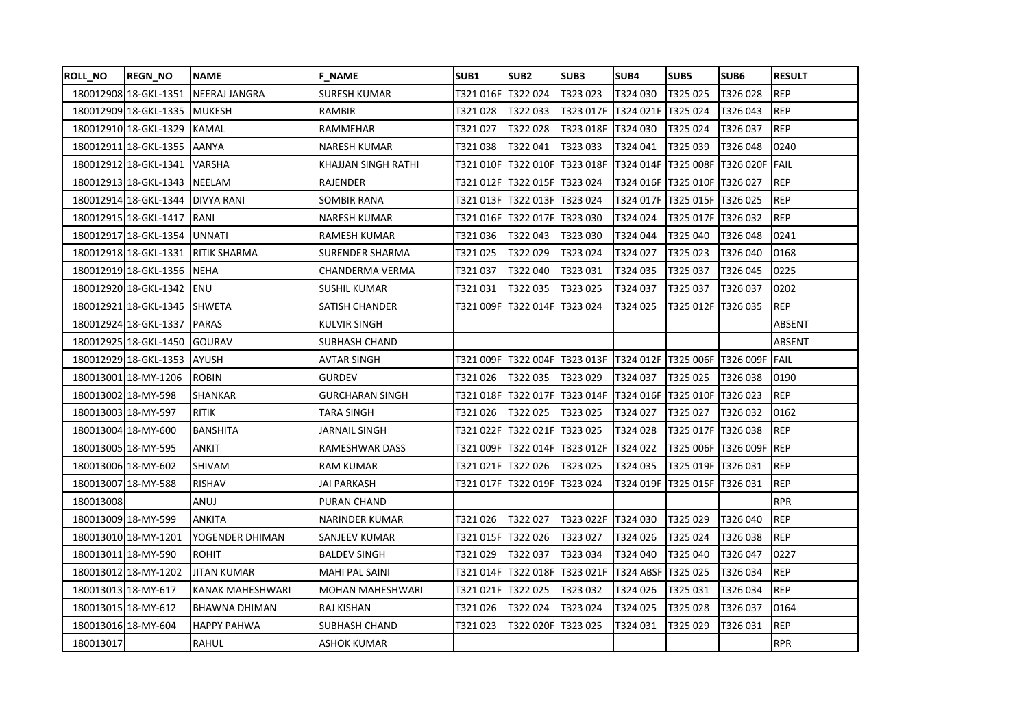| <b>ROLL_NO</b> | <b>REGN NO</b>            | <b>INAME</b>         | <b>F NAME</b>           | SUB1               | <b>SUB2</b>                    | SUB3                                   | SUB4                             | SUB5                         | SUB6                     | <b>RESULT</b> |
|----------------|---------------------------|----------------------|-------------------------|--------------------|--------------------------------|----------------------------------------|----------------------------------|------------------------------|--------------------------|---------------|
|                | 180012908 18-GKL-1351     | <b>NEERAJ JANGRA</b> | <b>SURESH KUMAR</b>     | T321016F           | T322 024                       | T323023                                | T324030                          | T325 025                     | T326028                  | <b>REP</b>    |
|                | 180012909 18-GKL-1335     | <b>MUKESH</b>        | RAMBIR                  | T321028            | T322033                        | T323 017F   T324 021F                  |                                  | T325 024                     | T326043                  | <b>REP</b>    |
|                | 180012910 18-GKL-1329     | KAMAL                | RAMMEHAR                | T321027            | T322028                        | T323 018F T324 030                     |                                  | T325 024                     | T326037                  | <b>REP</b>    |
|                | 180012911 18-GKL-1355     | <b>AANYA</b>         | NARESH KUMAR            | T321 038           | T322041                        | T323033                                | T324 041                         | T325 039                     | T326 048                 | 0240          |
|                | 180012912 18-GKL-1341     | <b>VARSHA</b>        | KHAJJAN SINGH RATHI     | T321 010F          |                                | T322 010F T323 018F                    | T324 014F                        |                              | T325 008F T326 020F FAIL |               |
|                | 180012913 18-GKL-1343     | <b>NEELAM</b>        | <b>RAJENDER</b>         |                    | T321 012F T322 015F T323 024   |                                        |                                  | T324 016F T325 010F T326 027 |                          | <b>REP</b>    |
|                | 180012914 18-GKL-1344     | <b>DIVYA RANI</b>    | SOMBIR RANA             |                    | T321 013F T322 013F T323 024   |                                        | T324 017F   T325 015F   T326 025 |                              |                          | <b>REP</b>    |
|                | 180012915 18-GKL-1417     | <b>RANI</b>          | NARESH KUMAR            |                    | T321 016F T322 017F T323 030   |                                        | T324024                          | T325 017F T326 032           |                          | <b>REP</b>    |
|                | 180012917 18-GKL-1354     | <b>UNNATI</b>        | RAMESH KUMAR            | T321 036           | T322043                        | T323 030                               | T324 044                         | T325 040                     | T326048                  | 0241          |
|                | 180012918 18-GKL-1331     | <b>RITIK SHARMA</b>  | <b>SURENDER SHARMA</b>  | T321025            | T322029                        | T323024                                | T324027                          | T325 023                     | T326 040                 | 0168          |
|                | 180012919 18-GKL-1356     | <b>INEHA</b>         | CHANDERMA VERMA         | T321 037           | T322 040                       | T323031                                | T324 035                         | T325 037                     | T326 045                 | 0225          |
|                | 180012920 18-GKL-1342 ENU |                      | <b>SUSHIL KUMAR</b>     | T321031            | T322035                        | T323025                                | T324037                          | T325 037                     | T326037                  | 0202          |
|                | 180012921 18-GKL-1345     | <b>SHWETA</b>        | SATISH CHANDER          | T321 009F          | T322 014F T323 024             |                                        | T324 025                         | T325 012F T326 035           |                          | <b>REP</b>    |
|                | 180012924 18-GKL-1337     | <b>PARAS</b>         | KULVIR SINGH            |                    |                                |                                        |                                  |                              |                          | ABSENT        |
|                | 180012925 18-GKL-1450     | <b>GOURAV</b>        | SUBHASH CHAND           |                    |                                |                                        |                                  |                              |                          | ABSENT        |
|                | 180012929 18-GKL-1353     | <b>AYUSH</b>         | <b>AVTAR SINGH</b>      |                    |                                |                                        |                                  |                              |                          |               |
|                | 180013001 18-MY-1206      | <b>ROBIN</b>         | <b>GURDEV</b>           | T321026            | T322 035                       | T323029                                | T324037                          | T325 025                     | T326038                  | 0190          |
|                | 180013002 18-MY-598       | SHANKAR              | <b>GURCHARAN SINGH</b>  |                    |                                |                                        |                                  |                              |                          | REP           |
|                | 180013003 18-MY-597       | RITIK                | TARA SINGH              | T321 026           | T322025                        | T323 025                               | T324 027                         | T325 027                     | T326032                  | 0162          |
|                | 180013004 18-MY-600       | <b>BANSHITA</b>      | JARNAIL SINGH           |                    | T321 022F T322 021F T323 025   |                                        | T324028                          | T325 017F T326 038           |                          | <b>REP</b>    |
|                | 180013005 18-MY-595       | ANKIT                | RAMESHWAR DASS          |                    |                                | T321 009F T322 014F T323 012F T324 022 |                                  |                              | T325 006F T326 009F REP  |               |
|                | 180013006 18-MY-602       | SHIVAM               | <b>RAM KUMAR</b>        | T321 021F T322 026 |                                | T323025                                | T324035                          | T325 019F T326 031           |                          | <b>REP</b>    |
|                | 180013007 18-MY-588       | <b>RISHAV</b>        | JAI PARKASH             |                    | T321 017F  T322 019F  T323 024 |                                        | T324 019F T325 015F T326 031     |                              |                          | <b>REP</b>    |
| 180013008      |                           | ANUJ                 | PURAN CHAND             |                    |                                |                                        |                                  |                              |                          | <b>RPR</b>    |
|                | 180013009 18-MY-599       | ANKITA               | NARINDER KUMAR          | T321026            | T322 027                       | T323 022F T324 030                     |                                  | T325 029                     | T326 040                 | <b>REP</b>    |
|                | 180013010 18-MY-1201      | YOGENDER DHIMAN      | SANJEEV KUMAR           | T321 015F T322 026 |                                | T323027                                | T324026                          | T325 024                     | T326038                  | <b>REP</b>    |
|                | 180013011 18-MY-590       | <b>ROHIT</b>         | BALDEV SINGH            | T321 029           | T322037                        | T323034                                | T324 040                         | T325 040                     | T326 047                 | 0227          |
|                | 180013012 18-MY-1202      | <b>JITAN KUMAR</b>   | <b>MAHI PAL SAINI</b>   | T321 014F          | T322 018F                      | T323 021F                              | T324 ABSF                        | T325 025                     | T326034                  | <b>REP</b>    |
|                | 180013013 18-MY-617       | KANAK MAHESHWARI     | <b>MOHAN MAHESHWARI</b> | T321 021F T322 025 |                                | T323 032                               | T324 026                         | T325 031                     | T326034                  | REP           |
|                | 180013015 18-MY-612       | BHAWNA DHIMAN        | RAJ KISHAN              | T321026            | T322024                        | T323024                                | T324025                          | T325 028                     | T326037                  | 0164          |
|                | 180013016 18-MY-604       | <b>HAPPY PAHWA</b>   | SUBHASH CHAND           | T321 023           | T322 020F                      | T323025                                | T324 031                         | T325 029                     | T326 031                 | <b>REP</b>    |
| 180013017      |                           | RAHUL                | ASHOK KUMAR             |                    |                                |                                        |                                  |                              |                          | <b>RPR</b>    |